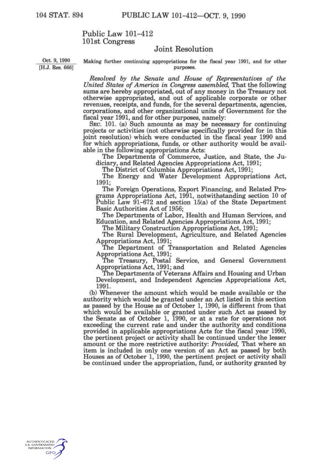## Public Law 101-412 101st Congress

## Joint Resolution

 $[H.J. Res. 666]$ 

Oct. 9, 1990 Making further continuing appropriations for the fiscal year 1991, and for other purposes.

*Resolved by the Senate and House of Representatives of the United States of America in Congress assembled.* That the following sums are hereby appropriated, out of any money in the Treasury not otherwise appropriated, and out of applicable corporate or other revenues, receipts, and funds, for the several departments, agencies, corporations, and other organizational units of Government for the fiscal year 1991, and for other purposes, namely:

SEC. 101. (a) Such amounts as may be necessary for continuing projects or activities (not otherwise specifically provided for in this joint resolution) which were conducted in the fiscal year 1990 and for which appropriations, funds, or other authority would be available in the following appropriations Acts:

The Departments of Commerce, Justice, and State, the Judiciary, and Related Agencies Appropriations Act, 1991;

The District of Columbia Appropriations Act, 1991;

The Energy and Water Development Appropriations Act, 1991;

The Foreign Operations, Export Financing, and Related Programs Appropriations Act, 1991, notwithstanding section 10 of Public Law 91-672 and section 15(a) of the State Department Basic Authorities Act of 1956;

The Departments of Labor, Health and Human Services, and Education, and Related Agencies Appropriations Act, 1991;

The Military Construction Appropriations Act, 1991;

The Rural Development, Agriculture, and Related Agencies Appropriations Act, 1991;

The Department of Transportation and Related Agencies Appropriations Act, 1991;

The Treasury, Postal Service, and General Government Appropriations Act, 1991; and

The Departments of Veterans Affairs and Housing and Urban Development, and Independent Agencies Appropriations Act, 1991.

(b) Whenever the amount which would be made available or the authority which would be granted under an Act listed in this section as passed by the House as of October 1, 1990, is different from that which would be available or granted under such Act as passed by the Senate as of October 1, 1990, or at a rate for operations not exceeding the current rate and under the authority and conditions provided in applicable appropriations Acts for the fiscal year 1990, the pertinent project or activity shall be continued under the lesser amount or the more restrictive authority: *Provided,* That where an item is included in only one version of an Act as passed by both Houses as of October 1, 1990, the pertinent project or activity shall be continued under the appropriation, fund, or authority granted by

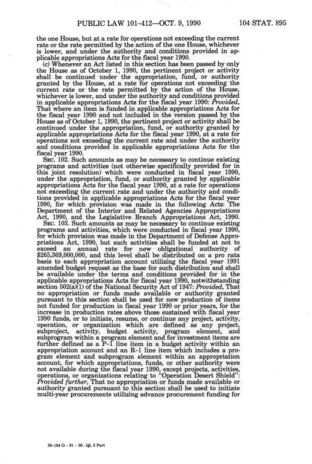the one House, but at a rate for operations not exceeding the current rate or the rate permitted by the action of the one House, whichever is lower, and under the authority and conditions provided in applicable appropriations Acts for the fiscal year 1990.

(c) Whenever an Act listed in this section has been passed by only the House as of October 1, 1990, the pertinent project or activity shall be continued under the appropriation, fund, or authority granted by the House, at a rate for operations not exceeding the current rate or the rate permitted by the action of the House, whichever is lower, and under the authority and conditions provided in applicable appropriations Acts for the fiscal year 1990: *Provided,*  That where an item is funded in applicable appropriations Acts for the fiscal year 1990 and not included in the version passed by the House as of October 1,1990, the pertinent project or activity shall be continued under the appropriation, fund, or authority granted by applicable appropriations Acts for the fiscal year 1990, at a rate for operations not exceeding the current rate and under the authority and conditions provided in applicable appropriations Acts for the fiscal year 1990.

SEC. 102. Such amounts as may be necessary to continue existing programs and activities (not otherwise specifically provided for in this joint resolution) which were conducted in fiscal year 1990, under the appropriation, fund, or authority granted by applicable appropriations Acts for the fiscal year 1990, at a rate for operations not exceeding the current rate and under the authority and conditions provided in applicable appropriations Acts for the fiscal year 1990, for which provision was made in the following Acts: The Department of the Interior and Related Agencies Appropriations Act, 1990, and the Legislative Branch Appropriations Act, 1990.

SEC. 103. Such amounts as may be necessary to continue existing programs and activities, which were conducted in fiscal year 1990, for which provision was made in the Department of Defense Appropriations Act, 1990, but such activities shall be funded at not to exceed an annual rate for new obligational authority of \$265,369,000,000, and this level shall be distributed on a pro rata basis to each appropriation account utilizing the fiscal year 1991 amended budget request as the base for such distribution and shall be available under the terms and conditions provided for in the applicable appropriations Acts for fiscal year 1990, notwithstanding section 502(a)(1) of the National Security Act of 1947: Provided, That no appropriation or funds made available or authority granted pursuant to this section shall be used for new production of items not funded for production in fiscal year 1990 or prior years, for the increase in production rates above those sustained with fiscal year 1990 funds, or to initiate, resume, or continue any project, activity, operation, or organization which are defined *as* any project, subproject, activity, budget activity, program element, and subprogram within a program element and for investment items are further defined as a P-1 line item in a budget activity within an appropriation account and an R-1 line item which includes a program element and subprogram element within an appropriation account, for which appropriations, funds, or other authority were not available during the fiscal year 1990, except projects, activities, operations, or organizations relating to "Operation Desert Shield": *Provided further.* That no appropriation or funds made available or authority granted pursuant to this section shall be used to initiate multi-year procurements utilizing advance procurement funding for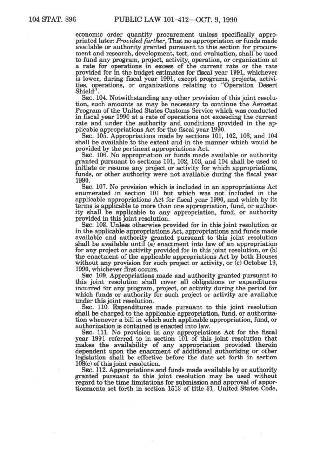economic order quantity procurement unless specifically appropriated later: *Provided further.* That no appropriation or funds made available or authority granted pursuant to this section for procurement and research, development, test, and evaluation, shall be used to fund any program, project, activity, operation, or organization at a rate for operations in excess of the current rate or the rate provided for in the budget estimates for fiscal year 1991, whichever is lower, during fiscal year 1991, except programs, projects, activities, operations, or organizations relating to "Operation Desert Shield<sup>"</sup>

SEC. 104. Notwithstanding any other provision of this joint resolution, such amounts as may be necessary to continue the Aerostat Program of the United States Customs Service which was conducted in fiscal year 1990 at a rate of operations not exceeding the current rate and under the authority and conditions provided in the applicable appropriations Act for the fiscal year 1990.

SEC. 105. Appropriations made by sections 101, 102, 103, and 104 shall be available to the extent and in the manner which would be provided by the pertinent appropriations Act.

SEC. 106. No appropriation or funds made available or authority granted pursuant to sections 101, 102, 103, and 104 shall be used to initiate or resume any project or activity for which appropriations, funds, or other authority were not available during the fiscal year 1990.

SEC. 107. No provision which is included in an appropriations Act enumerated in section 101 but which was not included in the applicable appropriations Act for fiscal year 1990, and which by its terms is applicable to more than one appropriation, fund, or authority shall be applicable to any appropriation, fund, or authority provided in this joint resolution.

SEC. 108. Unless otherwise provided for in this joint resolution or in the applicable appropriations Act, appropriations and funds made available and authority granted pursuant to this joint resolution shall be available until (a) enactment into law of an appropriation for any project or activity provided for in this joint resolution, or (b) the enactment of the applicable appropriations Act by both Houses without any provision for such project or activity, or (c) October 19, 1990, whichever first occurs.

SEC. 109. Appropriations made and authority granted pursuant to this joint resolution shall cover all obligations or expenditures incurred for any program, project, or activity during the period for which funds or authority for such project or activity are available under this joint resolution.

SEC. 110. Expenditures made pursuant to this joint resolution shall be charged to the applicable appropriation, fund, or authorization whenever a bill in which such applicable appropriation, fund, or authorization is contained is enacted into law.

SEC. 111. No provision in any appropriations Act for the fiscal year 1991 referred to in section 101 of this joint resolution that makes the availability of any appropriation provided therein dependent upon the enactment of additional authorizing or other legislation shall be effective before the date set forth in section 108(c) of this joint resolution.

SEC. 112. Appropriations and funds made available by or authority granted pursuant to this joint resolution may be used without regard to the time limitations for submission and approval of apportionments set forth in section 1513 of title 31, United States Code,